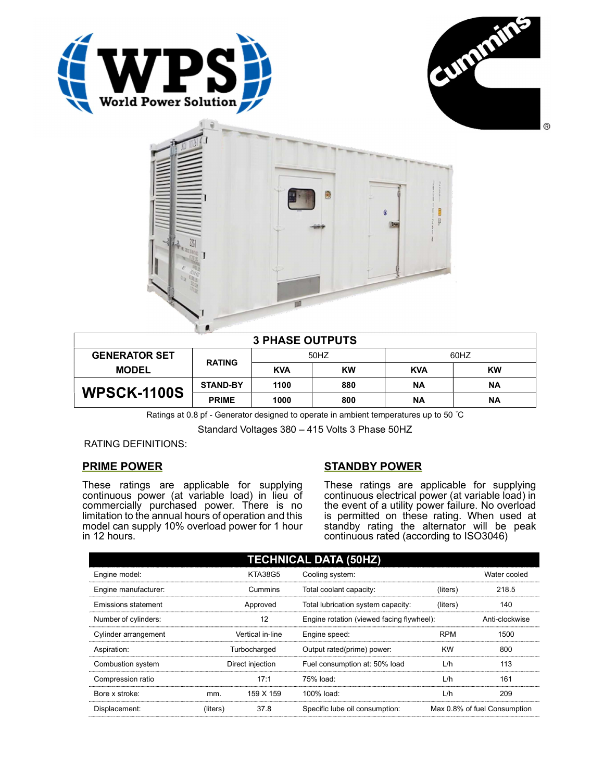





| $\frac{1}{2} \frac{1}{2} \frac{1}{2} \frac{1}{2} \frac{1}{2} \frac{1}{2} \frac{1}{2} \frac{1}{2} \frac{1}{2} \frac{1}{2} \frac{1}{2} \frac{1}{2} \frac{1}{2} \frac{1}{2} \frac{1}{2} \frac{1}{2} \frac{1}{2} \frac{1}{2} \frac{1}{2} \frac{1}{2} \frac{1}{2} \frac{1}{2} \frac{1}{2} \frac{1}{2} \frac{1}{2} \frac{1}{2} \frac{1}{2} \frac{1}{2} \frac{1}{2} \frac{1}{2} \frac{1}{2} \frac{$<br><b>3 PHASE OUTPUTS</b> |                 |            |           |            |           |  |
|------------------------------------------------------------------------------------------------------------------------------------------------------------------------------------------------------------------------------------------------------------------------------------------------------------------------------------------------------------------------------------------------------------------------|-----------------|------------|-----------|------------|-----------|--|
| <b>GENERATOR SET</b>                                                                                                                                                                                                                                                                                                                                                                                                   | <b>RATING</b>   | 50HZ       |           | 60HZ       |           |  |
| <b>MODEL</b>                                                                                                                                                                                                                                                                                                                                                                                                           |                 | <b>KVA</b> | <b>KW</b> | <b>KVA</b> | <b>KW</b> |  |
| <b>WPSCK-1100S</b>                                                                                                                                                                                                                                                                                                                                                                                                     | <b>STAND-BY</b> | 1100       | 880       | <b>NA</b>  | ΝA        |  |
|                                                                                                                                                                                                                                                                                                                                                                                                                        | <b>PRIME</b>    | 1000       | 800       | <b>NA</b>  | <b>NA</b> |  |

Ratings at 0.8 pf - Generator designed to operate in ambient temperatures up to 50 °C

Standard Voltages 380 – 415 Volts 3 Phase 50HZ

RATING DEFINITIONS:

## PRIME POWER

These ratings are applicable for supplying continuous power (at variable load) in lieu of commercially purchased power. There is no limitation to the annual hours of operation and this model can supply 10% overload power for 1 hour in 12 hours.

## STANDBY POWER

These ratings are applicable for supplying continuous electrical power (at variable load) in the event of a utility power failure. No overload is permitted on these rating. When used at standby rating the alternator will be peak continuous rated (according to ISO3046)

| <b>TECHNICAL DATA (50HZ)</b> |              |                  |                                           |            |                              |
|------------------------------|--------------|------------------|-------------------------------------------|------------|------------------------------|
| Engine model:                |              | <b>KTA38G5</b>   | Cooling system:                           |            | Water cooled                 |
| Engine manufacturer:         |              | Cummins          | Total coolant capacity:                   | (liters)   | 218.5                        |
| Emissions statement          |              | Approved         | Total lubrication system capacity:        | (liters)   | 140                          |
| Number of cylinders:         |              | 12               | Engine rotation (viewed facing flywheel): |            | Anti-clockwise               |
| Cylinder arrangement         |              | Vertical in-line | Engine speed:                             | <b>RPM</b> | 1500                         |
| Aspiration:                  | Turbocharged |                  | Output rated(prime) power:                | <b>KW</b>  | 800                          |
| Combustion system            |              | Direct injection | Fuel consumption at: 50% load             | L/h        | 113                          |
| Compression ratio            |              | 17:1             | 75% load:                                 | L/h        | 161                          |
| Bore x stroke:               | mm.          | 159 X 159        | $100\%$ load:                             | L/h        | 209                          |
| Displacement:                | (liters)     | 37.8             | Specific lube oil consumption:            |            | Max 0.8% of fuel Consumption |